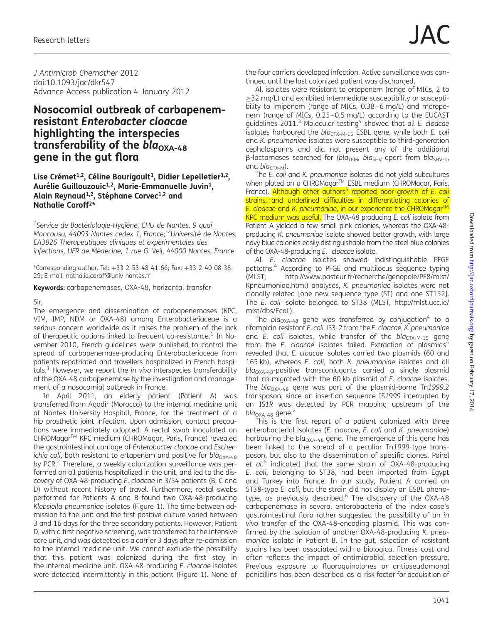J Antimicrob Chemother 2012 doi:10.1093/jac/dkr547 Advance Access publication 4 January 2012

# Nosocomial outbreak of carbapenemresistant Enterobacter cloacae highlighting the interspecies transferability of the  $bla_{\text{OXA-48}}$ gene in the gut flora

### Lise Crémet<sup>1,2</sup>, Céline Bourigault<sup>1</sup>, Didier Lepelletier<sup>1,2</sup>, Aurélie Guillouzouic<sup>1,2</sup>, Marie-Emmanuelle Juvin<sup>1</sup>, Alain Reynaud<sup>1,2</sup>, Stéphane Corvec<sup>1,2</sup> and Nathalie Caroff2\*

<sup>1</sup>Service de Bactériologie-Hygiène, CHU de Nantes, 9 quai Moncousu, 44093 Nantes cedex 1, France; <sup>2</sup>Université de Nantes, EA3826 Thérapeutiques cliniques et expérimentales des infections, UFR de Médecine, 1 rue G. Veil, 44000 Nantes, France

\*Corresponding author. Tel: +33-2-53-48-41-66; Fax: +33-2-40-08-38- 29; E-mail: nathalie.caroff@univ-nantes.fr

Keywords: carbapenemases, OXA-48, horizontal transfer

### Sir,

The emergence and dissemination of carbapenemases (KPC, VIM, IMP, NDM or OXA-48) among Enterobacteriaceae is a serious concern worldwide as it raises the problem of the lack of therapeutic options linked to frequent co-resistance.<sup>[1](#page-2-0)</sup> In November 2010, French guidelines were published to control the spread of carbapenemase-producing Enterobacteriaceae from patients repatriated and travellers hospitalized in French hospi-tals.<sup>[1](#page-2-0)</sup> However, we report the *in vivo* interspecies transferability of the OXA-48 carbapenemase by the investigation and management of a nosocomial outbreak in France.

In April 2011, an elderly patient (Patient A) was transferred from Agadir (Morocco) to the internal medicine unit at Nantes University Hospital, France, for the treatment of a hip prosthetic joint infection. Upon admission, contact precautions were immediately adopted. A rectal swab inoculated on CHROMagarTM KPC medium (CHROMagar, Paris, France) revealed the gastrointestinal carriage of Enterobacter cloacae and Escherichia coli, both resistant to ertapenem and positive for bla<sub>OXA-48</sub> by PCR.<sup>2</sup> Therefore, a weekly colonization surveillance was performed on all patients hospitalized in the unit, and led to the discovery of OXA-48-producing E. cloacae in 3/54 patients (B, C and D) without recent history of travel. Furthermore, rectal swabs performed for Patients A and B found two OXA-48-producing Klebsiella pneumoniae isolates (Figure [1](#page-1-0)). The time between admission to the unit and the first positive culture varied between 3 and 16 days for the three secondary patients. However, Patient D, with a first negative screening, was transferred to the intensive care unit, and was detected as a carrier 3 days after re-admission to the internal medicine unit. We cannot exclude the possibility that this patient was colonized during the first stay in the internal medicine unit. OXA-48-producing E. cloacae isolates were detected intermittently in this patient (Figure [1](#page-1-0)). None of the four carriers developed infection. Active surveillance was continued until the last colonized patient was discharged.

All isolates were resistant to ertapenem (range of MICs, 2 to ≥32 mg/L) and exhibited intermediate susceptibility or susceptibility to imipenem (range of MICs, 0.38–6 mg/L) and meropenem (range of MICs, 0.25–0.5 mg/L) according to the EUCAST guidelines  $2011$ <sup>[3](#page-2-0)</sup> Molecular testing<sup>[4](#page-2-0)</sup> showed that all *E. cloacae* isolates harboured the  $bla_{CTX-M-15}$  ESBL gene, while both E. coli and K. pneumoniae isolates were susceptible to third-generation cephalosporins and did not present any of the additional  $\beta$ -lactamases searched for (bla<sub>TEM</sub>, bla<sub>SHV</sub> apart from bla<sub>SHV-1</sub>, and  $bla_{CTX-M}$ ).

The E. coli and K. pneumoniae isolates did not yield subcultures when plated on a CHROMagar™ ESBL medium (CHROMagar, Paris, France). Although other authors<sup>5</sup> reported poor growth of E. coli strains, and underlined difficulties in differentiating colonies of E. cloacae and K. pneumoniae, in our experience the CHROMagar<sup>TM</sup> KPC medium was useful. The OXA-48 producing E. coli isolate from Patient A yielded a few small pink colonies, whereas the OXA-48 producing K. pneumoniae isolate showed better growth, with large navy blue colonies easily distinguishable from the steel blue colonies of the OXA-48-producing E. cloacae isolate.

All E. cloacae isolates showed indistinguishable PFGE patterns.<sup>4</sup> According to PFGE and multilocus sequence typing (MLST; [http://www.pasteur.fr/recherche/genopole/PF8/mlst/](http://www.pasteur.fr/recherche/genopole/PF8/mlst/Kpneumoniae.html) [Kpneumoniae.html](http://www.pasteur.fr/recherche/genopole/PF8/mlst/Kpneumoniae.html)) analyses, K. pneumoniae isolates were not clonally related [one new sequence type (ST) and one ST152]. The E. coli isolate belonged to ST38 (MLST, [http://mlst.ucc.ie/](http://mlst.ucc.ie/mlst/dbs/Ecoli) [mlst/dbs/Ecoli\)](http://mlst.ucc.ie/mlst/dbs/Ecoli).

The bla<sub>OXA-[4](#page-2-0)8</sub> gene was transferred by conjugation<sup>4</sup> to a rifampicin-resistant E. coli J53-2 from the E. cloacae, K. pneumoniae and E. coli isolates, while transfer of the  $bla_{CTX-M-15}$  gene from the E. cloacae isolates failed. Extraction of plasmids $4$ revealed that E. cloacae isolates carried two plasmids (60 and 165 kb), whereas E. coli, both K. pneumoniae isolates and all  $bla<sub>OXA-48</sub>$ -positive transconjugants carried a single plasmid that co-migrated with the 60 kb plasmid of E. cloacae isolates. The  $bla_{\text{OXA-48}}$  gene was part of the plasmid-borne Tn1999.2 transposon, since an insertion sequence IS1999 interrupted by an IS1R was detected by PCR mapping upstream of the  $bla_{OXA-48}$  gene.<sup>[2](#page-2-0)</sup>

This is the first report of a patient colonized with three enterobacterial isolates (E. cloacae, E. coli and K. pneumoniae) harbouring the  $bla_{\text{OXA-48}}$  gene. The emergence of this gene has been linked to the spread of a peculiar Tn1999-type transposon, but also to the dissemination of specific clones. Poirel et al.<sup>[6](#page-2-0)</sup> indicated that the same strain of OXA-48-producing E. coli, belonging to ST38, had been imported from Egypt and Turkey into France. In our study, Patient A carried an ST38-type E. coli, but the strain did not display an ESBL phenotype, as previously described. $6\overline{}$  $6\overline{}$  The discovery of the OXA-48 carbapenemase in several enterobacteria of the index case's gastrointestinal flora rather suggested the possibility of an in vivo transfer of the OXA-48-encoding plasmid. This was confirmed by the isolation of another OXA-48-producing K. pneumoniae isolate in Patient B. In the gut, selection of resistant strains has been associated with a biological fitness cost and often reflects the impact of antimicrobial selection pressure. Previous exposure to fluoroquinolones or antipseudomonal penicillins has been described as a risk factor for acquisition of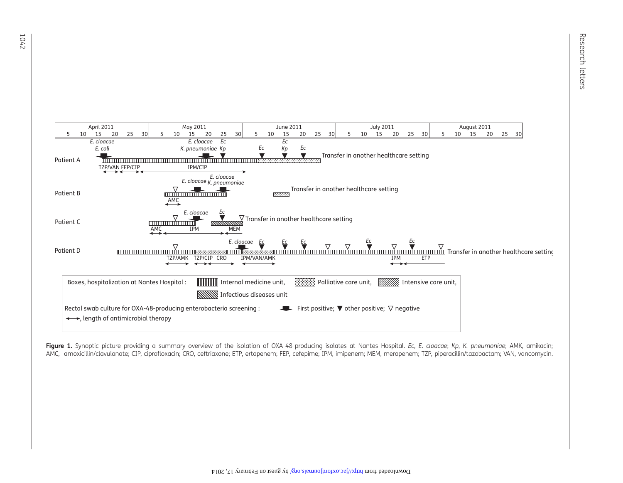<span id="page-1-0"></span>

Figure 1. Synoptic picture providing a summary overview of the isolation of OXA-48-producing isolates at Nantes Hospital. Ec, E. cloacae; Kp, K. pneumoniae; AMK, amikacin; AMC, amoxicillin/clavulanate; CIP, ciprofloxacin; CRO, ceftriaxone; ETP, ertapenem; FEP, cefepime; IPM, imipenem; MEM, meropenem; TZP, piperacillin/tazobactam; VAN, vancomycin.